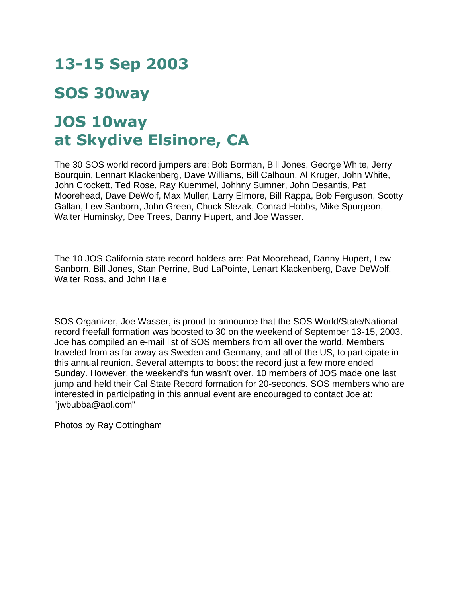## **13-15 Sep 2003**

## **SOS 30way**

## **JOS 10way at Skydive Elsinore, CA**

The 30 SOS world record jumpers are: Bob Borman, Bill Jones, George White, Jerry Bourquin, Lennart Klackenberg, Dave Williams, Bill Calhoun, Al Kruger, John White, John Crockett, Ted Rose, Ray Kuemmel, Johhny Sumner, John Desantis, Pat Moorehead, Dave DeWolf, Max Muller, Larry Elmore, Bill Rappa, Bob Ferguson, Scotty Gallan, Lew Sanborn, John Green, Chuck Slezak, Conrad Hobbs, Mike Spurgeon, Walter Huminsky, Dee Trees, Danny Hupert, and Joe Wasser.

The 10 JOS California state record holders are: Pat Moorehead, Danny Hupert, Lew Sanborn, Bill Jones, Stan Perrine, Bud LaPointe, Lenart Klackenberg, Dave DeWolf, Walter Ross, and John Hale

SOS Organizer, Joe Wasser, is proud to announce that the SOS World/State/National record freefall formation was boosted to 30 on the weekend of September 13-15, 2003. Joe has compiled an e-mail list of SOS members from all over the world. Members traveled from as far away as Sweden and Germany, and all of the US, to participate in this annual reunion. Several attempts to boost the record just a few more ended Sunday. However, the weekend's fun wasn't over. 10 members of JOS made one last jump and held their Cal State Record formation for 20-seconds. SOS members who are interested in participating in this annual event are encouraged to contact Joe at: "jwbubba@aol.com"

Photos by Ray Cottingham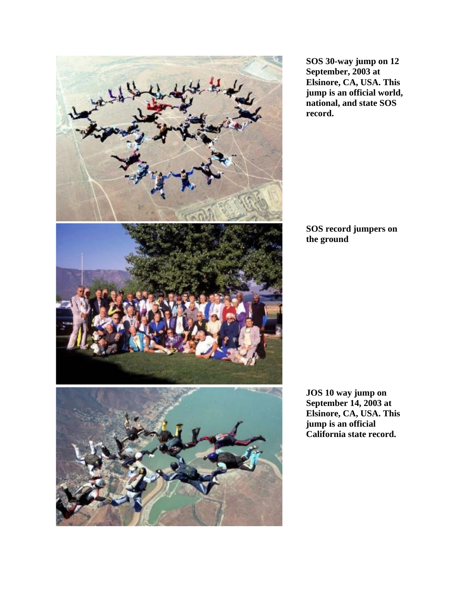

**SOS 30-way jump on 12 September, 2003 at Elsinore, CA, USA. This jump is an official world, national, and state SOS record.**

**SOS record jumpers on the ground**

**JOS 10 way jump on September 14, 2003 at Elsinore, CA, USA. This jump is an official California state record.**